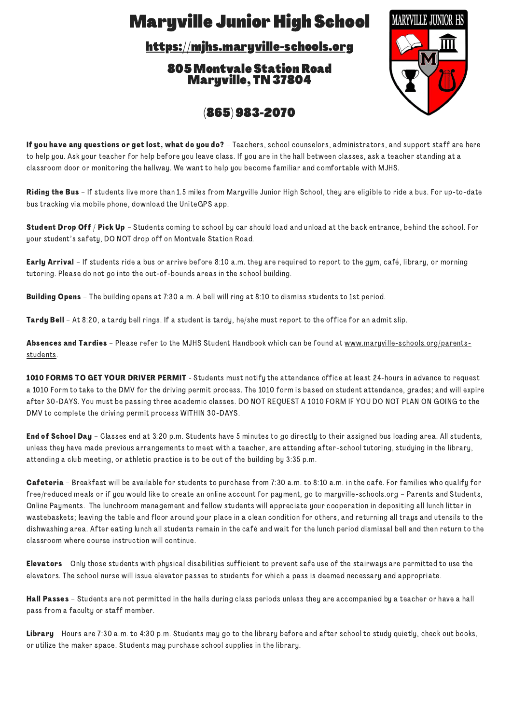## **Maryville Junior High School**

[https://mjhs.maryville-schools.org](https://mjhs.maryville-schools.org/)

805 Montvale StationRoad Maryville, TN 37804



(865) 983-2070

If you have any questions or get lost, what do you do? - Teachers, school counselors, administrators, and support staff are here to help you. Ask your teacher for help before you leave class. If you are in the hall between classes, ask a teacher standing at a classroom door or monitoring the hallway. We want to help you become familiar and comfortable with MJHS.

Riding the Bus - If students live more than 1.5 miles from Maryville Junior High School, they are eligible to ride a bus. For up-to-date bus tracking via mobile phone, download the UniteGPS app.

Student Drop Off / Pick Up - Students coming to school by car should load and unload at the back entrance, behind the school. For your student's safety, DO NOT drop off on Montvale Station Road.

**Early Arrival** – If students ride a bus or arrive before 8:10 a.m. they are required to report to the gym, café, library, or morning tutoring. Please do not go into the out-of-bounds areas in the school building.

Building Opens – The building opens at 7:30 a.m. A bell will ring at 8:10 to dismiss students to 1st period.

Tardy Bell – At 8:20, a tardy bell rings. If a student is tardy, he/she must report to the office for an admit slip.

Absences and Tardies - Please refer to the MJHS Student Handbook which can be found at [www.maryville-schools.org/parents](https://mjhs.maryville-schools.org/parents-students)students.

1010 FORMS TO GET YOUR DRIVER PERMIT - Students must notify the attendance office at least 24-hours in advance to request a 1010 Form to take to the DMV for the driving permit process. The 1010 form is based on student attendance, grades; and will expire after 30-DAYS. You must be passing three academic classes. DO NOT REQUEST A 1010 FORM IF YOU DO NOT PLAN ON GOING to the DMV to complete the driving permit process WITHIN 30-DAYS.

End of School Day - Classes end at 3:20 p.m. Students have 5 minutes to go directly to their assigned bus loading area. All students, unless they have made previous arrangements to meet with a teacher, are attending after-school tutoring, studying in the library, attending a club meeting, or athletic practice is to be out of the building by 3:35 p.m.

Cafeteria – Breakfast will be available for students to purchase from 7:30 a.m. to 8:10 a.m. in the café. For families who qualify for free/reduced meals or if you would like to create an online account for payment, go to maryville-schools.org – Parents and Students, Online Payments. The lunchroom management and fellow students will appreciate your cooperation in depositing all lunch litter in wastebaskets; leaving the table and floor around your place in a clean condition for others, and returning all trays and utensils to the dishwashing area. After eating lunch all students remain in the café and wait for the lunch period dismissal bell and then return to the classroom where course instruction will continue.

Elevators – Only those students with physical disabilities sufficient to prevent safe use of the stairways are permitted to use the elevators. The school nurse will issue elevator passes to students for which a pass is deemed necessary and appropriate.

Hall Passes - Students are not permitted in the halls during class periods unless they are accompanied by a teacher or have a hall pass from a faculty or staff member.

Library - Hours are 7:30 a.m. to 4:30 p.m. Students may go to the library before and after school to study quietly, check out books, or utilize the maker space. Students may purchase school supplies in the library.